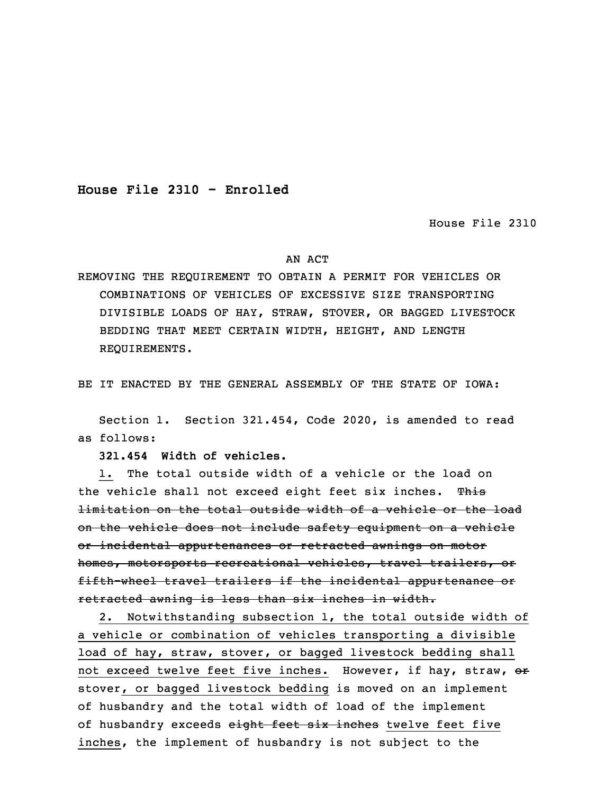**House File 2310 - Enrolled**

House File 2310

## AN ACT

REMOVING THE REQUIREMENT TO OBTAIN A PERMIT FOR VEHICLES OR COMBINATIONS OF VEHICLES OF EXCESSIVE SIZE TRANSPORTING DIVISIBLE LOADS OF HAY, STRAW, STOVER, OR BAGGED LIVESTOCK BEDDING THAT MEET CERTAIN WIDTH, HEIGHT, AND LENGTH REQUIREMENTS.

BE IT ENACTED BY THE GENERAL ASSEMBLY OF THE STATE OF IOWA:

 Section 1. Section 321.454, Code 2020, is amended to read as follows:

3 **321.454 Width of vehicles.**

 1. The total outside width of <sup>a</sup> vehicle or the load on the vehicle shall not exceed eight feet six inches. This limitation on the total outside width of a vehicle or the load on the vehicle does not include safety equipment on a vehicle or incidental appurtenances or retracted awnings on motor homes, motorsports recreational vehicles, travel trailers, or fifth-wheel travel trailers if the incidental appurtenance or retracted awning is less than six inches in width.

 2. Notwithstanding subsection 1, the total outside width of a vehicle or combination of vehicles transporting a divisible load of hay, straw, stover, or bagged livestock bedding shall not exceed twelve feet five inches. However, if hay, straw, or stover, or bagged livestock bedding is moved on an implement of husbandry and the total width of load of the implement of husbandry exceeds eight feet six inches twelve feet five inches, the implement of husbandry is not subject to the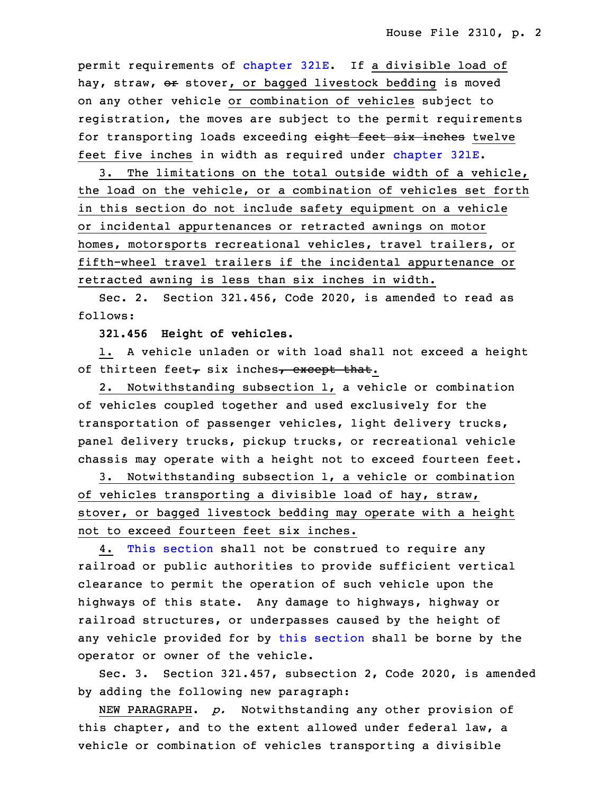permit requirements of [chapter](https://www.legis.iowa.gov/docs/code/2020/321E.pdf) 321E. If a divisible load of hay, straw, or stover, or bagged livestock bedding is moved on any other vehicle or combination of vehicles subject to registration, the moves are subject to the permit requirements for transporting loads exceeding eight feet six inches twelve feet five inches in width as required under [chapter](https://www.legis.iowa.gov/docs/code/2020/321E.pdf) 321E.

3. The limitations on the total outside width of a vehicle, the load on the vehicle, or a combination of vehicles set forth in this section do not include safety equipment on a vehicle or incidental appurtenances or retracted awnings on motor homes, motorsports recreational vehicles, travel trailers, or fifth-wheel travel trailers if the incidental appurtenance or retracted awning is less than six inches in width.

Sec. 2. Section 321.456, Code 2020, is amended to read as follows:

35 **321.456 Height of vehicles.**

 1. <sup>A</sup> vehicle unladen or with load shall not exceed <sup>a</sup> height of thirteen feet<sub> $\tau$ </sub> six inches<sub> $\tau$ </sub> except that.

3 2. Notwithstanding subsection 1, <sup>a</sup> vehicle or combination of vehicles coupled together and used exclusively for the transportation of passenger vehicles, light delivery trucks, panel delivery trucks, pickup trucks, or recreational vehicle chassis may operate with a height not to exceed fourteen feet.

8 3. Notwithstanding subsection 1, <sup>a</sup> vehicle or combination of vehicles transporting a divisible load of hay, straw, stover, or bagged livestock bedding may operate with a height not to exceed fourteen feet six inches.

 4. This [section](https://www.legis.iowa.gov/docs/code/2020/321.456.pdf) shall not be construed to require any railroad or public authorities to provide sufficient vertical clearance to permit the operation of such vehicle upon the highways of this state. Any damage to highways, highway or railroad structures, or underpasses caused by the height of any vehicle provided for by this [section](https://www.legis.iowa.gov/docs/code/2020/321.456.pdf) shall be borne by the operator or owner of the vehicle.

Sec. 3. Section 321.457, subsection 2, Code 2020, is amended by adding the following new paragraph:

 NEW PARAGRAPH. *p.* Notwithstanding any other provision of this chapter, and to the extent allowed under federal law, <sup>a</sup> vehicle or combination of vehicles transporting a divisible